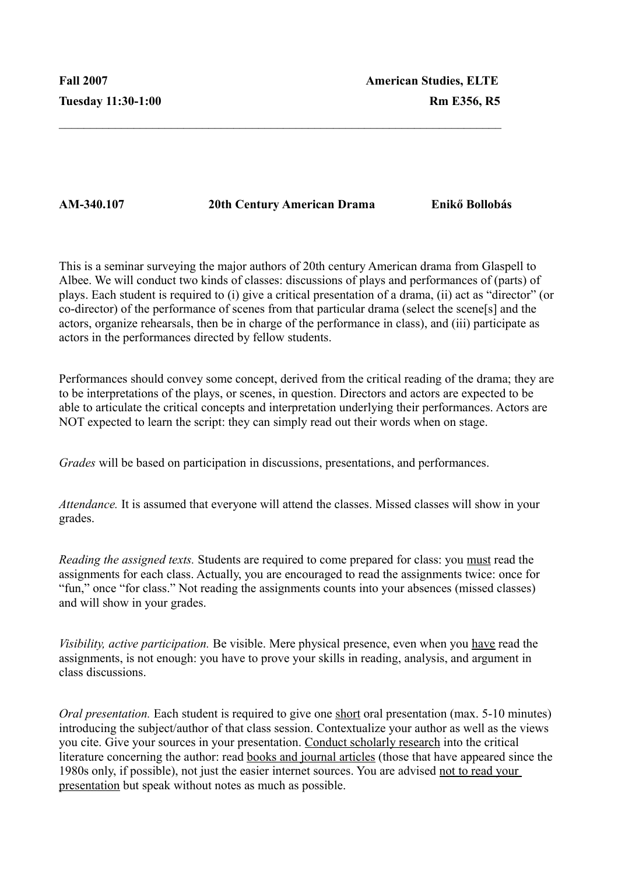**AM-340.107 20th Century American Drama Enikő Bollobás**

 $\mathcal{L}_\text{max} = \mathcal{L}_\text{max} = \mathcal{L}_\text{max} = \mathcal{L}_\text{max} = \mathcal{L}_\text{max} = \mathcal{L}_\text{max} = \mathcal{L}_\text{max} = \mathcal{L}_\text{max} = \mathcal{L}_\text{max} = \mathcal{L}_\text{max} = \mathcal{L}_\text{max} = \mathcal{L}_\text{max} = \mathcal{L}_\text{max} = \mathcal{L}_\text{max} = \mathcal{L}_\text{max} = \mathcal{L}_\text{max} = \mathcal{L}_\text{max} = \mathcal{L}_\text{max} = \mathcal{$ 

This is a seminar surveying the major authors of 20th century American drama from Glaspell to Albee. We will conduct two kinds of classes: discussions of plays and performances of (parts) of plays. Each student is required to (i) give a critical presentation of a drama, (ii) act as "director" (or co-director) of the performance of scenes from that particular drama (select the scene[s] and the actors, organize rehearsals, then be in charge of the performance in class), and (iii) participate as actors in the performances directed by fellow students.

Performances should convey some concept, derived from the critical reading of the drama; they are to be interpretations of the plays, or scenes, in question. Directors and actors are expected to be able to articulate the critical concepts and interpretation underlying their performances. Actors are NOT expected to learn the script: they can simply read out their words when on stage.

*Grades* will be based on participation in discussions, presentations, and performances.

*Attendance.* It is assumed that everyone will attend the classes. Missed classes will show in your grades.

*Reading the assigned texts.* Students are required to come prepared for class: you must read the assignments for each class. Actually, you are encouraged to read the assignments twice: once for "fun," once "for class." Not reading the assignments counts into your absences (missed classes) and will show in your grades.

*Visibility, active participation.* Be visible. Mere physical presence, even when you have read the assignments, is not enough: you have to prove your skills in reading, analysis, and argument in class discussions.

*Oral presentation.* Each student is required to give one short oral presentation (max. 5-10 minutes) introducing the subject/author of that class session. Contextualize your author as well as the views you cite. Give your sources in your presentation. Conduct scholarly research into the critical literature concerning the author: read books and journal articles (those that have appeared since the 1980s only, if possible), not just the easier internet sources. You are advised not to read your presentation but speak without notes as much as possible.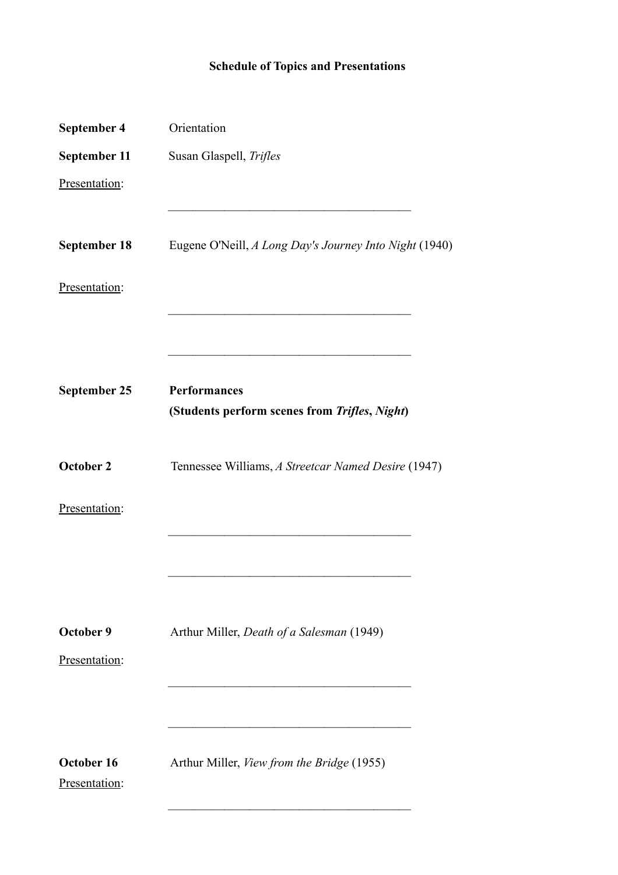## **Schedule of Topics and Presentations**

| September 4                 | Orientation                                            |
|-----------------------------|--------------------------------------------------------|
| September 11                | Susan Glaspell, Trifles                                |
| Presentation:               |                                                        |
| <b>September 18</b>         | Eugene O'Neill, A Long Day's Journey Into Night (1940) |
| Presentation:               |                                                        |
|                             |                                                        |
| September 25                | Performances                                           |
|                             | (Students perform scenes from Trifles, Night)          |
| October 2                   | Tennessee Williams, A Streetcar Named Desire (1947)    |
| Presentation:               |                                                        |
|                             |                                                        |
| October 9                   | Arthur Miller, Death of a Salesman (1949)              |
| Presentation:               |                                                        |
|                             |                                                        |
| October 16<br>Presentation: | Arthur Miller, View from the Bridge (1955)             |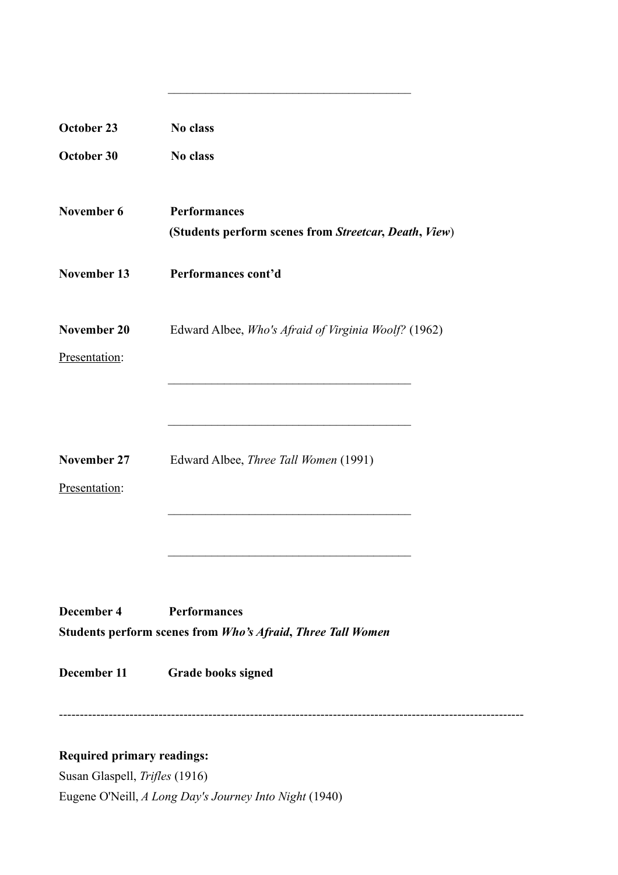| October 23    | No class                                                                                  |
|---------------|-------------------------------------------------------------------------------------------|
| October 30    | No class                                                                                  |
| November 6    | <b>Performances</b><br>(Students perform scenes from Streetcar, Death, View)              |
| November 13   | Performances cont'd                                                                       |
| November 20   | Edward Albee, Who's Afraid of Virginia Woolf? (1962)                                      |
| Presentation: |                                                                                           |
|               |                                                                                           |
| November 27   | Edward Albee, Three Tall Women (1991)                                                     |
| Presentation: |                                                                                           |
|               |                                                                                           |
| December 4    | <b>Performances</b><br><b>Students perform scenes from Who's Afraid, Three Tall Women</b> |
| December 11   | <b>Grade books signed</b>                                                                 |
|               |                                                                                           |

 $\mathcal{L}_\text{max}$  and  $\mathcal{L}_\text{max}$  and  $\mathcal{L}_\text{max}$  and  $\mathcal{L}_\text{max}$ 

----------------------------------------------------------------------------------------------------------------

## **Required primary readings:**

Susan Glaspell, *Trifles* (1916) Eugene O'Neill, *A Long Day's Journey Into Night* (1940)